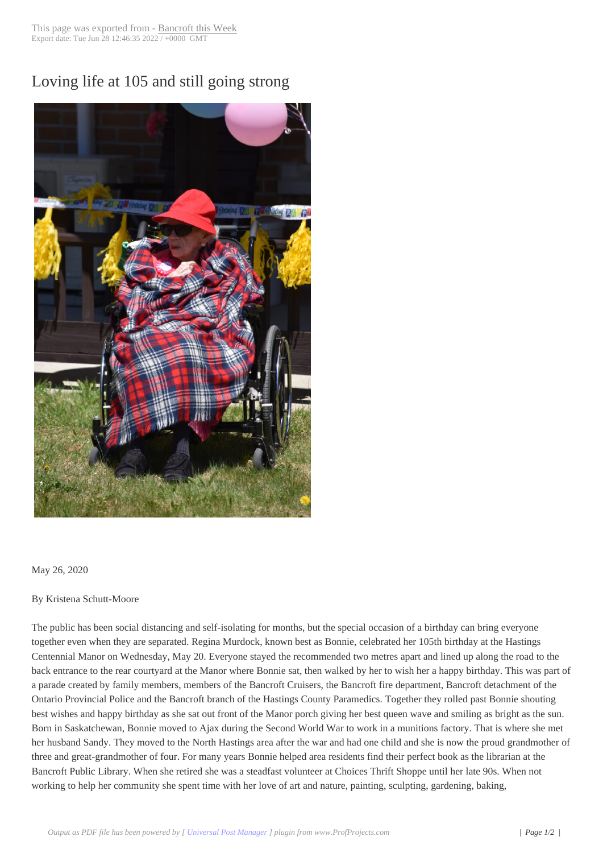## Loving life at 105 [and still going](http://www.bancroftthisweek.com/?p=10597) strong



## May 26, 2020

## By Kristena Schutt-Moore

The public has been social distancing and self-isolating for months, but the special occasion of a birthday can bring everyone together even when they are separated. Regina Murdock, known best as Bonnie, celebrated her 105th birthday at the Hastings Centennial Manor on Wednesday, May 20. Everyone stayed the recommended two metres apart and lined up along the road to the back entrance to the rear courtyard at the Manor where Bonnie sat, then walked by her to wish her a happy birthday. This was part of a parade created by family members, members of the Bancroft Cruisers, the Bancroft fire department, Bancroft detachment of the Ontario Provincial Police and the Bancroft branch of the Hastings County Paramedics. Together they rolled past Bonnie shouting best wishes and happy birthday as she sat out front of the Manor porch giving her best queen wave and smiling as bright as the sun. Born in Saskatchewan, Bonnie moved to Ajax during the Second World War to work in a munitions factory. That is where she met her husband Sandy. They moved to the North Hastings area after the war and had one child and she is now the proud grandmother of three and great-grandmother of four. For many years Bonnie helped area residents find their perfect book as the librarian at the Bancroft Public Library. When she retired she was a steadfast volunteer at Choices Thrift Shoppe until her late 90s. When not working to help her community she spent time with her love of art and nature, painting, sculpting, gardening, baking,